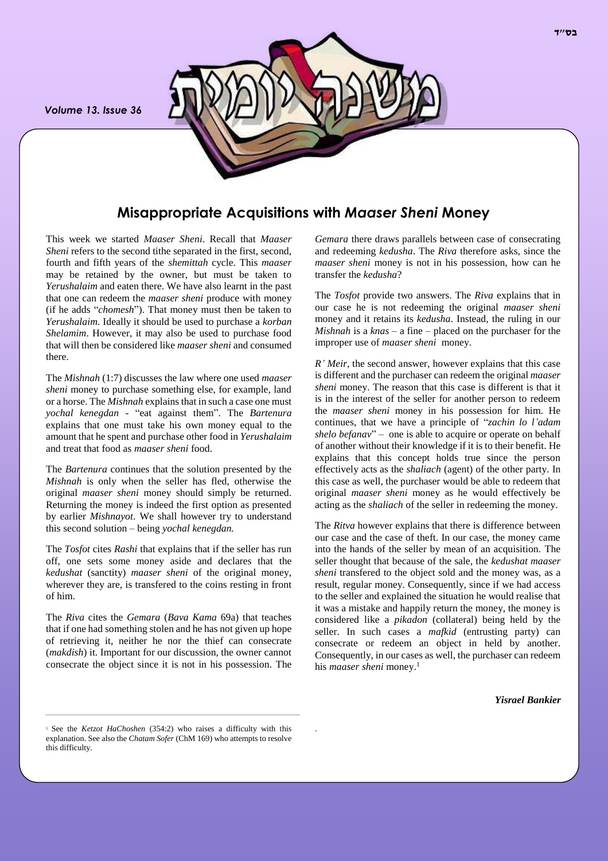*Volume 13. Issue 36*



## **Misappropriate Acquisitions with** *Maaser Sheni* **Money**

.

This week we started *Maaser Sheni*. Recall that *Maaser Sheni* refers to the second tithe separated in the first, second, fourth and fifth years of the *shemittah* cycle. This *maaser* may be retained by the owner, but must be taken to *Yerushalaim* and eaten there. We have also learnt in the past that one can redeem the *maaser sheni* produce with money (if he adds "*chomesh*"). That money must then be taken to *Yerushalaim*. Ideally it should be used to purchase a *korban Shelamim*. However, it may also be used to purchase food that will then be considered like *maaser sheni* and consumed there.

The *Mishnah* (1:7) discusses the law where one used *maaser sheni* money to purchase something else, for example, land or a horse. The *Mishnah* explains that in such a case one must *yochal kenegdan* - "eat against them". The *Bartenura* explains that one must take his own money equal to the amount that he spent and purchase other food in *Yerushalaim*  and treat that food as *maaser sheni* food.

The *Bartenura* continues that the solution presented by the *Mishnah* is only when the seller has fled, otherwise the original *maaser sheni* money should simply be returned. Returning the money is indeed the first option as presented by earlier *Mishnayot*. We shall however try to understand this second solution – being *yochal kenegdan.*

The *Tosfot* cites *Rashi* that explains that if the seller has run off, one sets some money aside and declares that the *kedushat* (sanctity) *maaser sheni* of the original money, wherever they are, is transfered to the coins resting in front of him.

The *Riva* cites the *Gemara* (*Bava Kama* 69a) that teaches that if one had something stolen and he has not given up hope of retrieving it, neither he nor the thief can consecrate (*makdish*) it. Important for our discussion, the owner cannot consecrate the object since it is not in his possession. The *Gemara* there draws parallels between case of consecrating and redeeming *kedusha*. The *Riva* therefore asks, since the *maaser sheni* money is not in his possession, how can he transfer the *kedusha*?

The *Tosfot* provide two answers. The *Riva* explains that in our case he is not redeeming the original *maaser sheni* money and it retains its *kedusha*. Instead, the ruling in our *Mishnah* is a *knas* – a fine – placed on the purchaser for the improper use of *maaser sheni* money.

*R' Meir*, the second answer, however explains that this case is different and the purchaser can redeem the original *maaser sheni* money. The reason that this case is different is that it is in the interest of the seller for another person to redeem the *maaser sheni* money in his possession for him. He continues, that we have a principle of "*zachin lo l'adam shelo befanav*" – one is able to acquire or operate on behalf of another without their knowledge if it is to their benefit. He explains that this concept holds true since the person effectively acts as the *shaliach* (agent) of the other party. In this case as well, the purchaser would be able to redeem that original *maaser sheni* money as he would effectively be acting as the *shaliach* of the seller in redeeming the money.

The *Ritva* however explains that there is difference between our case and the case of theft. In our case, the money came into the hands of the seller by mean of an acquisition. The seller thought that because of the sale, the *kedushat maaser sheni* transfered to the object sold and the money was, as a result, regular money. Consequently, since if we had access to the seller and explained the situation he would realise that it was a mistake and happily return the money, the money is considered like a *pikadon* (collateral) being held by the seller. In such cases a *mafkid* (entrusting party) can consecrate or redeem an object in held by another. Consequently, in our cases as well, the purchaser can redeem his *maaser sheni* money.<sup>1</sup>

*Yisrael Bankier*

<sup>&</sup>lt;sup>1</sup> See the *Ketzot HaChoshen* (354:2) who raises a difficulty with this explanation. See also the *Chatam Sofer* (ChM 169) who attempts to resolve this difficulty.